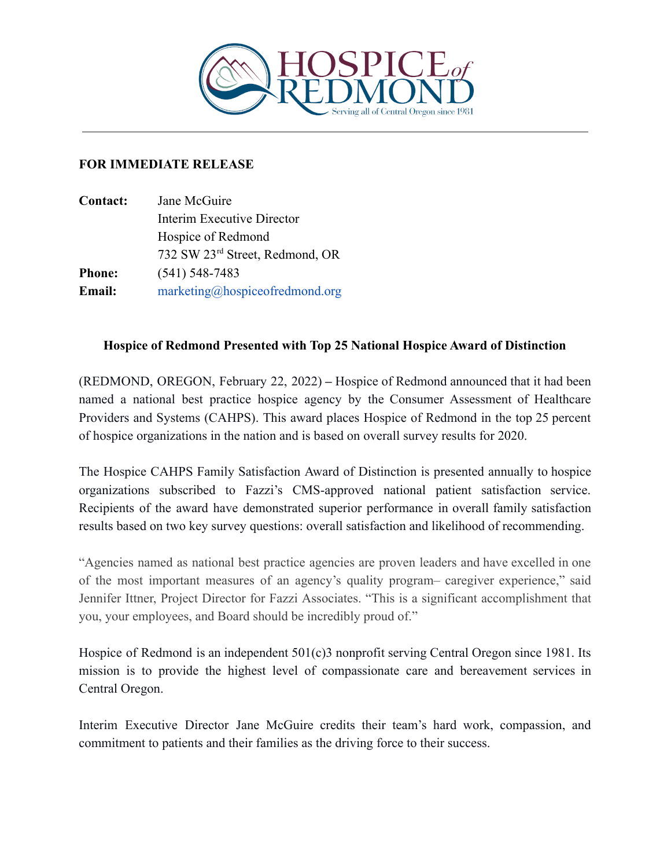

## **FOR IMMEDIATE RELEASE**

| <b>Contact:</b> | Jane McGuire                                |
|-----------------|---------------------------------------------|
|                 | Interim Executive Director                  |
|                 | Hospice of Redmond                          |
|                 | 732 SW 23 <sup>rd</sup> Street, Redmond, OR |
| <b>Phone:</b>   | $(541)$ 548-7483                            |
| <b>Email:</b>   | marketing@hospiceofredmond.org              |

## **Hospice of Redmond Presented with Top 25 National Hospice Award of Distinction**

(REDMOND, OREGON, February 22, 2022) **–** Hospice of Redmond announced that it had been named a national best practice hospice agency by the Consumer Assessment of Healthcare Providers and Systems (CAHPS). This award places Hospice of Redmond in the top 25 percent of hospice organizations in the nation and is based on overall survey results for 2020.

The Hospice CAHPS Family Satisfaction Award of Distinction is presented annually to hospice organizations subscribed to Fazzi's CMS-approved national patient satisfaction service. Recipients of the award have demonstrated superior performance in overall family satisfaction results based on two key survey questions: overall satisfaction and likelihood of recommending.

"Agencies named as national best practice agencies are proven leaders and have excelled in one of the most important measures of an agency's quality program– caregiver experience," said Jennifer Ittner, Project Director for Fazzi Associates. "This is a significant accomplishment that you, your employees, and Board should be incredibly proud of."

Hospice of Redmond is an independent 501(c)3 nonprofit serving Central Oregon since 1981. Its mission is to provide the highest level of compassionate care and bereavement services in Central Oregon.

Interim Executive Director Jane McGuire credits their team's hard work, compassion, and commitment to patients and their families as the driving force to their success.